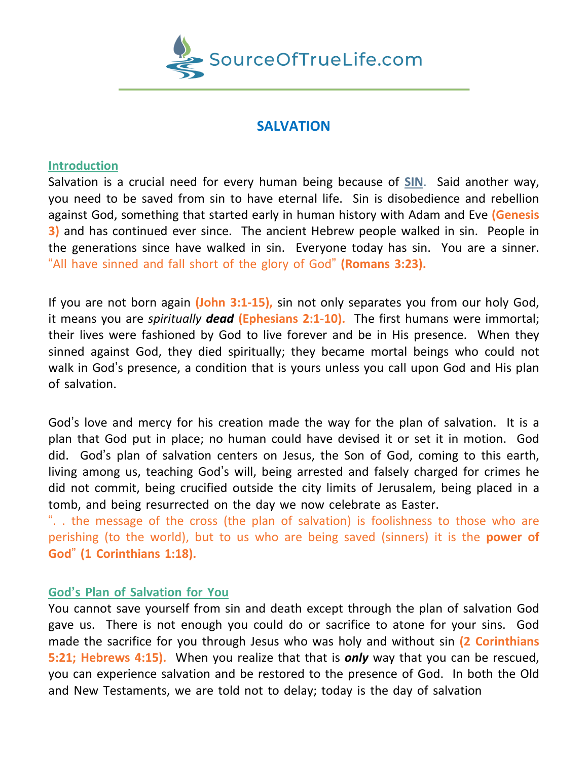

## **SALVATION**

## **Introduction**

Salvation is a crucial need for every human being because of **SIN**. Said another way, you need to be saved from sin to have eternal life. Sin is disobedience and rebellion against God, something that started early in human history with Adam and Eve **(Genesis 3)** and has continued ever since. The ancient Hebrew people walked in sin. People in the generations since have walked in sin. Everyone today has sin. You are a sinner. "All have sinned and fall short of the glory of God" **(Romans 3:23).**

If you are not born again **(John 3:1-15),** sin not only separates you from our holy God, it means you are *spiritually dead* **(Ephesians 2:1-10).** The first humans were immortal; their lives were fashioned by God to live forever and be in His presence. When they sinned against God, they died spiritually; they became mortal beings who could not walk in God's presence, a condition that is yours unless you call upon God and His plan of salvation.

God's love and mercy for his creation made the way for the plan of salvation. It is a plan that God put in place; no human could have devised it or set it in motion. God did. God's plan of salvation centers on Jesus, the Son of God, coming to this earth, living among us, teaching God's will, being arrested and falsely charged for crimes he did not commit, being crucified outside the city limits of Jerusalem, being placed in a tomb, and being resurrected on the day we now celebrate as Easter.

". . the message of the cross (the plan of salvation) is foolishness to those who are perishing (to the world), but to us who are being saved (sinners) it is the **power of God**" **(1 Corinthians 1:18).**

## **God's Plan of Salvation for You**

You cannot save yourself from sin and death except through the plan of salvation God gave us. There is not enough you could do or sacrifice to atone for your sins. God made the sacrifice for you through Jesus who was holy and without sin **(2 Corinthians 5:21; Hebrews 4:15).** When you realize that that is *only* way that you can be rescued, you can experience salvation and be restored to the presence of God. In both the Old and New Testaments, we are told not to delay; today is the day of salvation